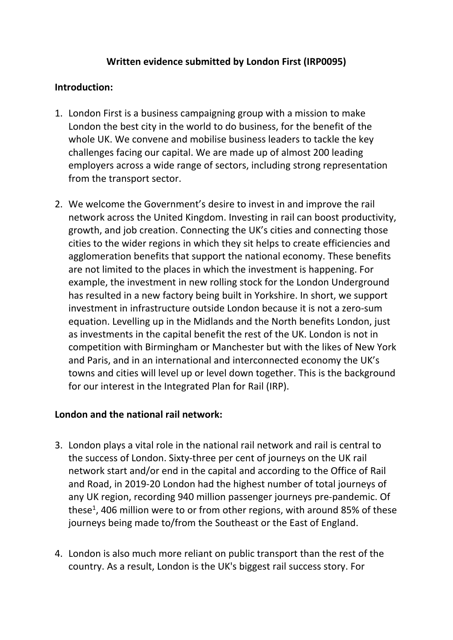# **Written evidence submitted by London First (IRP0095)**

## **Introduction:**

- 1. London First is a business campaigning group with a mission to make London the best city in the world to do business, for the benefit of the whole UK. We convene and mobilise business leaders to tackle the key challenges facing our capital. We are made up of almost 200 leading employers across a wide range of sectors, including strong representation from the transport sector.
- 2. We welcome the Government's desire to invest in and improve the rail network across the United Kingdom. Investing in rail can boost productivity, growth, and job creation. Connecting the UK's cities and connecting those cities to the wider regions in which they sit helps to create efficiencies and agglomeration benefits that support the national economy. These benefits are not limited to the places in which the investment is happening. For example, the investment in new rolling stock for the London Underground has resulted in a new factory being built in Yorkshire. In short, we support investment in infrastructure outside London because it is not a zero-sum equation. Levelling up in the Midlands and the North benefits London, just as investments in the capital benefit the rest of the UK. London is not in competition with Birmingham or Manchester but with the likes of New York and Paris, and in an international and interconnected economy the UK's towns and cities will level up or level down together. This is the background for our interest in the Integrated Plan for Rail (IRP).

## **London and the national rail network:**

- 3. London plays a vital role in the national rail network and rail is central to the success of London. Sixty-three per cent of journeys on the UK rail network start and/or end in the capital and according to the Office of Rail and Road, in 2019-20 London had the highest number of total journeys of any UK region, recording 940 million passenger journeys pre-pandemic. Of these<sup>1</sup>, 406 million were to or from other regions, with around 85% of these journeys being made to/from the Southeast or the East of England.
- 4. London is also much more reliant on public transport than the rest of the country. As a result, London is the UK's biggest rail success story. For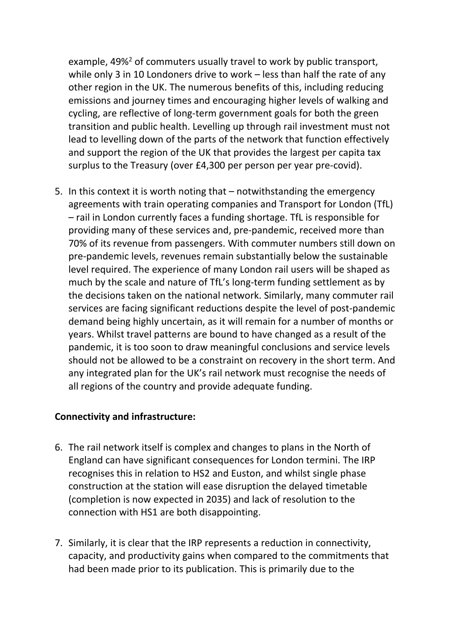example, 49%<sup>2</sup> of commuters usually travel to work by public transport, while only 3 in 10 Londoners drive to work – less than half the rate of any other region in the UK. The numerous benefits of this, including reducing emissions and journey times and encouraging higher levels of walking and cycling, are reflective of long-term government goals for both the green transition and public health. Levelling up through rail investment must not lead to levelling down of the parts of the network that function effectively and support the region of the UK that provides the largest per capita tax surplus to the Treasury (over £4,300 per person per year pre-covid).

5. In this context it is worth noting that – notwithstanding the emergency agreements with train operating companies and Transport for London (TfL) – rail in London currently faces a funding shortage. TfL is responsible for providing many of these services and, pre-pandemic, received more than 70% of its revenue from passengers. With commuter numbers still down on pre-pandemic levels, revenues remain substantially below the sustainable level required. The experience of many London rail users will be shaped as much by the scale and nature of TfL's long-term funding settlement as by the decisions taken on the national network. Similarly, many commuter rail services are facing significant reductions despite the level of post-pandemic demand being highly uncertain, as it will remain for a number of months or years. Whilst travel patterns are bound to have changed as a result of the pandemic, it is too soon to draw meaningful conclusions and service levels should not be allowed to be a constraint on recovery in the short term. And any integrated plan for the UK's rail network must recognise the needs of all regions of the country and provide adequate funding.

#### **Connectivity and infrastructure:**

- 6. The rail network itself is complex and changes to plans in the North of England can have significant consequences for London termini. The IRP recognises this in relation to HS2 and Euston, and whilst single phase construction at the station will ease disruption the delayed timetable (completion is now expected in 2035) and lack of resolution to the connection with HS1 are both disappointing.
- 7. Similarly, it is clear that the IRP represents a reduction in connectivity, capacity, and productivity gains when compared to the commitments that had been made prior to its publication. This is primarily due to the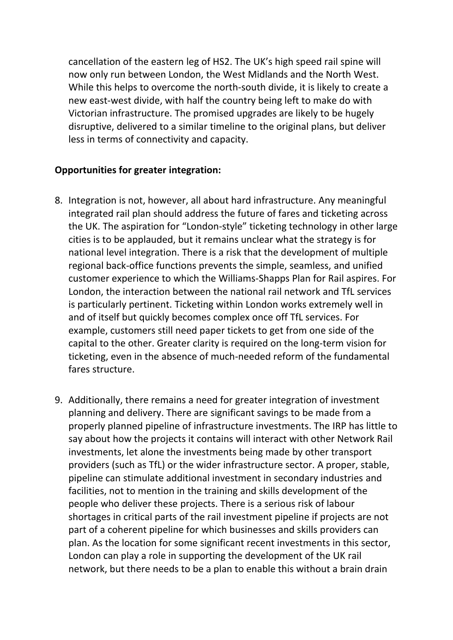cancellation of the eastern leg of HS2. The UK's high speed rail spine will now only run between London, the West Midlands and the North West. While this helps to overcome the north-south divide, it is likely to create a new east-west divide, with half the country being left to make do with Victorian infrastructure. The promised upgrades are likely to be hugely disruptive, delivered to a similar timeline to the original plans, but deliver less in terms of connectivity and capacity.

## **Opportunities for greater integration:**

- 8. Integration is not, however, all about hard infrastructure. Any meaningful integrated rail plan should address the future of fares and ticketing across the UK. The aspiration for "London-style" ticketing technology in other large cities is to be applauded, but it remains unclear what the strategy is for national level integration. There is a risk that the development of multiple regional back-office functions prevents the simple, seamless, and unified customer experience to which the Williams-Shapps Plan for Rail aspires. For London, the interaction between the national rail network and TfL services is particularly pertinent. Ticketing within London works extremely well in and of itself but quickly becomes complex once off TfL services. For example, customers still need paper tickets to get from one side of the capital to the other. Greater clarity is required on the long-term vision for ticketing, even in the absence of much-needed reform of the fundamental fares structure.
- 9. Additionally, there remains a need for greater integration of investment planning and delivery. There are significant savings to be made from a properly planned pipeline of infrastructure investments. The IRP has little to say about how the projects it contains will interact with other Network Rail investments, let alone the investments being made by other transport providers (such as TfL) or the wider infrastructure sector. A proper, stable, pipeline can stimulate additional investment in secondary industries and facilities, not to mention in the training and skills development of the people who deliver these projects. There is a serious risk of labour shortages in critical parts of the rail investment pipeline if projects are not part of a coherent pipeline for which businesses and skills providers can plan. As the location for some significant recent investments in this sector, London can play a role in supporting the development of the UK rail network, but there needs to be a plan to enable this without a brain drain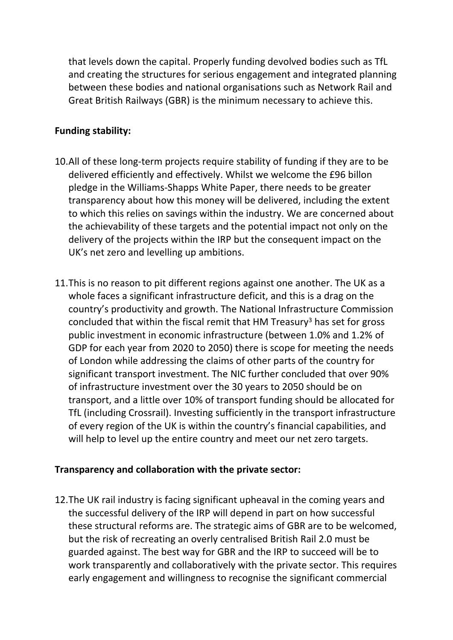that levels down the capital. Properly funding devolved bodies such as TfL and creating the structures for serious engagement and integrated planning between these bodies and national organisations such as Network Rail and Great British Railways (GBR) is the minimum necessary to achieve this.

## **Funding stability:**

- 10.All of these long-term projects require stability of funding if they are to be delivered efficiently and effectively. Whilst we welcome the £96 billon pledge in the Williams-Shapps White Paper, there needs to be greater transparency about how this money will be delivered, including the extent to which this relies on savings within the industry. We are concerned about the achievability of these targets and the potential impact not only on the delivery of the projects within the IRP but the consequent impact on the UK's net zero and levelling up ambitions.
- 11.This is no reason to pit different regions against one another. The UK as a whole faces a significant infrastructure deficit, and this is a drag on the country's productivity and growth. The National Infrastructure Commission concluded that within the fiscal remit that HM Treasury<sup>3</sup> has set for gross public investment in economic infrastructure (between 1.0% and 1.2% of GDP for each year from 2020 to 2050) there is scope for meeting the needs of London while addressing the claims of other parts of the country for significant transport investment. The NIC further concluded that over 90% of infrastructure investment over the 30 years to 2050 should be on transport, and a little over 10% of transport funding should be allocated for TfL (including Crossrail). Investing sufficiently in the transport infrastructure of every region of the UK is within the country's financial capabilities, and will help to level up the entire country and meet our net zero targets.

## **Transparency and collaboration with the private sector:**

12.The UK rail industry is facing significant upheaval in the coming years and the successful delivery of the IRP will depend in part on how successful these structural reforms are. The strategic aims of GBR are to be welcomed, but the risk of recreating an overly centralised British Rail 2.0 must be guarded against. The best way for GBR and the IRP to succeed will be to work transparently and collaboratively with the private sector. This requires early engagement and willingness to recognise the significant commercial